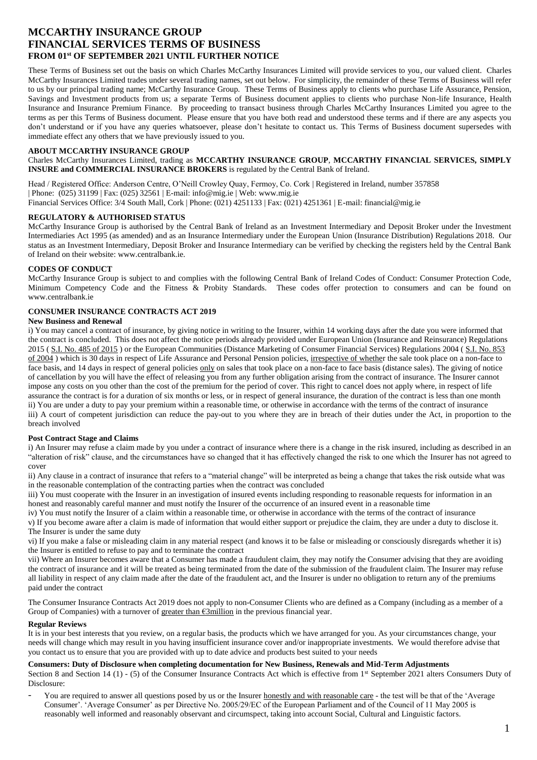# **MCCARTHY INSURANCE GROUP FINANCIAL SERVICES TERMS OF BUSINESS FROM 01st OF SEPTEMBER 2021 UNTIL FURTHER NOTICE**

These Terms of Business set out the basis on which Charles McCarthy Insurances Limited will provide services to you, our valued client. Charles McCarthy Insurances Limited trades under several trading names, set out below. For simplicity, the remainder of these Terms of Business will refer to us by our principal trading name; McCarthy Insurance Group. These Terms of Business apply to clients who purchase Life Assurance, Pension, Savings and Investment products from us; a separate Terms of Business document applies to clients who purchase Non-life Insurance, Health Insurance and Insurance Premium Finance. By proceeding to transact business through Charles McCarthy Insurances Limited you agree to the terms as per this Terms of Business document. Please ensure that you have both read and understood these terms and if there are any aspects you don't understand or if you have any queries whatsoever, please don't hesitate to contact us. This Terms of Business document supersedes with immediate effect any others that we have previously issued to you.

#### **ABOUT MCCARTHY INSURANCE GROUP**

Charles McCarthy Insurances Limited, trading as **MCCARTHY INSURANCE GROUP**, **MCCARTHY FINANCIAL SERVICES, SIMPLY INSURE and COMMERCIAL INSURANCE BROKERS** is regulated by the Central Bank of Ireland.

Head / Registered Office: Anderson Centre, O'Neill Crowley Quay, Fermoy, Co. Cork | Registered in Ireland, number 357858 | Phone: (025) 31199 | Fax: (025) 32561 | E-mail: info@mig.ie | Web: www.mig.ie Financial Services Office: 3/4 South Mall, Cork | Phone: (021) 4251133 | Fax: (021) 4251361 | E-mail: financial@mig.ie

#### **REGULATORY & AUTHORISED STATUS**

McCarthy Insurance Group is authorised by the Central Bank of Ireland as an Investment Intermediary and Deposit Broker under the Investment Intermediaries Act 1995 (as amended) and as an Insurance Intermediary under the European Union (Insurance Distribution) Regulations 2018. Our status as an Investment Intermediary, Deposit Broker and Insurance Intermediary can be verified by checking the registers held by the Central Bank of Ireland on their website: www.centralbank.ie.

## **CODES OF CONDUCT**

McCarthy Insurance Group is subject to and complies with the following Central Bank of Ireland Codes of Conduct: Consumer Protection Code, Minimum Competency Code and the Fitness & Probity Standards. These codes offer protection to consumers and can be found on www.centralbank.ie

# **CONSUMER INSURANCE CONTRACTS ACT 2019**

# **New Business and Renewal**

i) You may cancel a contract of insurance, by giving notice in writing to the Insurer, within 14 working days after the date you were informed that the contract is concluded. This does not affect the notice periods already provided under European Union (Insurance and Reinsurance) Regulations 2015 ( [S.I. No. 485 of 2015](http://www.irishstatutebook.ie/2015/en/si/0485.html) ) or the European Communities (Distance Marketing of Consumer Financial Services) Regulations 2004 ( S.I. No. 853 [of 2004](http://www.irishstatutebook.ie/2004/en/si/0853.html) ) which is 30 days in respect of Life Assurance and Personal Pension policies, irrespective of whether the sale took place on a non-face to face basis, and 14 days in respect of general policies only on sales that took place on a non-face to face basis (distance sales). The giving of notice of cancellation by you will have the effect of releasing you from any further obligation arising from the contract of insurance. The Insurer cannot impose any costs on you other than the cost of the premium for the period of cover. This right to cancel does not apply where, in respect of life assurance the contract is for a duration of six months or less, or in respect of general insurance, the duration of the contract is less than one month ii) You are under a duty to pay your premium within a reasonable time, or otherwise in accordance with the terms of the contract of insurance iii) A court of competent jurisdiction can reduce the pay-out to you where they are in breach of their duties under the Act, in proportion to the breach involved

## **Post Contract Stage and Claims**

i) An Insurer may refuse a claim made by you under a contract of insurance where there is a change in the risk insured, including as described in an "alteration of risk" clause, and the circumstances have so changed that it has effectively changed the risk to one which the Insurer has not agreed to cover

ii) Any clause in a contract of insurance that refers to a "material change" will be interpreted as being a change that takes the risk outside what was in the reasonable contemplation of the contracting parties when the contract was concluded

iii) You must cooperate with the Insurer in an investigation of insured events including responding to reasonable requests for information in an honest and reasonably careful manner and must notify the Insurer of the occurrence of an insured event in a reasonable time

iv) You must notify the Insurer of a claim within a reasonable time, or otherwise in accordance with the terms of the contract of insurance v) If you become aware after a claim is made of information that would either support or prejudice the claim, they are under a duty to disclose it.

The Insurer is under the same duty vi) If you make a false or misleading claim in any material respect (and knows it to be false or misleading or consciously disregards whether it is) the Insurer is entitled to refuse to pay and to terminate the contract

vii) Where an Insurer becomes aware that a Consumer has made a fraudulent claim, they may notify the Consumer advising that they are avoiding the contract of insurance and it will be treated as being terminated from the date of the submission of the fraudulent claim. The Insurer may refuse all liability in respect of any claim made after the date of the fraudulent act, and the Insurer is under no obligation to return any of the premiums paid under the contract

The Consumer Insurance Contracts Act 2019 does not apply to non-Consumer Clients who are defined as a Company (including as a member of a Group of Companies) with a turnover of greater than  $\epsilon$ 3million in the previous financial year.

## **Regular Reviews**

It is in your best interests that you review, on a regular basis, the products which we have arranged for you. As your circumstances change, your needs will change which may result in you having insufficient insurance cover and/or inappropriate investments. We would therefore advise that you contact us to ensure that you are provided with up to date advice and products best suited to your needs

## **Consumers: Duty of Disclosure when completing documentation for New Business, Renewals and Mid-Term Adjustments**

Section 8 and Section 14 (1) - (5) of the Consumer Insurance Contracts Act which is effective from 1<sup>st</sup> September 2021 alters Consumers Duty of Disclosure:

You are required to answer all questions posed by us or the Insurer honestly and with reasonable care - the test will be that of the 'Average Consumer'. 'Average Consumer' as per Directive No. 2005/29/EC of the European Parliament and of the Council of 11 May 2005 is reasonably well informed and reasonably observant and circumspect, taking into account Social, Cultural and Linguistic factors.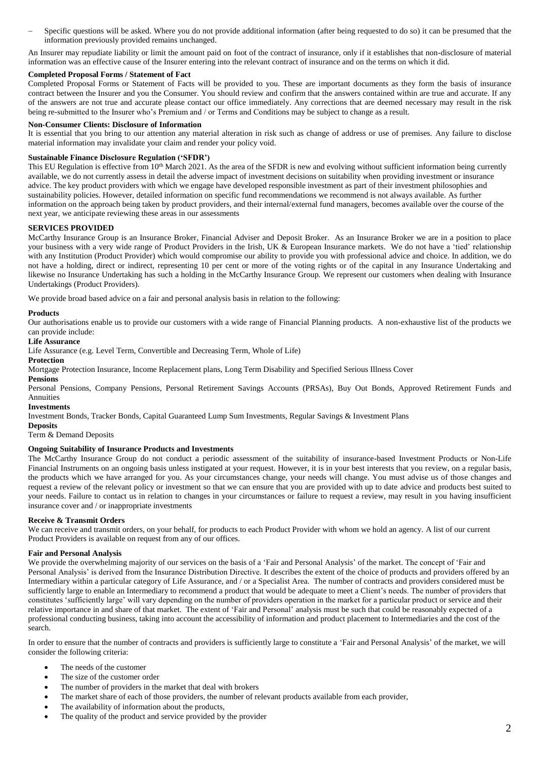Specific questions will be asked. Where you do not provide additional information (after being requested to do so) it can be presumed that the information previously provided remains unchanged.

An Insurer may repudiate liability or limit the amount paid on foot of the contract of insurance, only if it establishes that non-disclosure of material information was an effective cause of the Insurer entering into the relevant contract of insurance and on the terms on which it did.

# **Completed Proposal Forms / Statement of Fact**

Completed Proposal Forms or Statement of Facts will be provided to you. These are important documents as they form the basis of insurance contract between the Insurer and you the Consumer. You should review and confirm that the answers contained within are true and accurate. If any of the answers are not true and accurate please contact our office immediately. Any corrections that are deemed necessary may result in the risk being re-submitted to the Insurer who's Premium and / or Terms and Conditions may be subject to change as a result.

#### **Non-Consumer Clients: Disclosure of Information**

It is essential that you bring to our attention any material alteration in risk such as change of address or use of premises. Any failure to disclose material information may invalidate your claim and render your policy void.

## **Sustainable Finance Disclosure Regulation ('SFDR')**

This EU Regulation is effective from 10<sup>th</sup> March 2021. As the area of the SFDR is new and evolving without sufficient information being currently available, we do not currently assess in detail the adverse impact of investment decisions on suitability when providing investment or insurance advice. The key product providers with which we engage have developed responsible investment as part of their investment philosophies and sustainability policies. However, detailed information on specific fund recommendations we recommend is not always available. As further information on the approach being taken by product providers, and their internal/external fund managers, becomes available over the course of the next year, we anticipate reviewing these areas in our assessments

#### **SERVICES PROVIDED**

McCarthy Insurance Group is an Insurance Broker, Financial Adviser and Deposit Broker. As an Insurance Broker we are in a position to place your business with a very wide range of Product Providers in the Irish, UK & European Insurance markets. We do not have a 'tied' relationship with any Institution (Product Provider) which would compromise our ability to provide you with professional advice and choice. In addition, we do not have a holding, direct or indirect, representing 10 per cent or more of the voting rights or of the capital in any Insurance Undertaking and likewise no Insurance Undertaking has such a holding in the McCarthy Insurance Group. We represent our customers when dealing with Insurance Undertakings (Product Providers).

We provide broad based advice on a fair and personal analysis basis in relation to the following:

#### **Products**

Our authorisations enable us to provide our customers with a wide range of Financial Planning products. A non-exhaustive list of the products we can provide include:

#### **Life Assurance**

Life Assurance (e.g. Level Term, Convertible and Decreasing Term, Whole of Life)

# **Protection**

Mortgage Protection Insurance, Income Replacement plans, Long Term Disability and Specified Serious Illness Cover

# **Pensions**

Personal Pensions, Company Pensions, Personal Retirement Savings Accounts (PRSAs), Buy Out Bonds, Approved Retirement Funds and Annuities

#### **Investments**

Investment Bonds, Tracker Bonds, Capital Guaranteed Lump Sum Investments, Regular Savings & Investment Plans

## **Deposits**

Term & Demand Deposits

## **Ongoing Suitability of Insurance Products and Investments**

The McCarthy Insurance Group do not conduct a periodic assessment of the suitability of insurance-based Investment Products or Non-Life Financial Instruments on an ongoing basis unless instigated at your request. However, it is in your best interests that you review, on a regular basis, the products which we have arranged for you. As your circumstances change, your needs will change. You must advise us of those changes and request a review of the relevant policy or investment so that we can ensure that you are provided with up to date advice and products best suited to your needs. Failure to contact us in relation to changes in your circumstances or failure to request a review, may result in you having insufficient insurance cover and / or inappropriate investments

## **Receive & Transmit Orders**

We can receive and transmit orders, on your behalf, for products to each Product Provider with whom we hold an agency. A list of our current Product Providers is available on request from any of our offices.

## **Fair and Personal Analysis**

We provide the overwhelming majority of our services on the basis of a 'Fair and Personal Analysis' of the market. The concept of 'Fair and Personal Analysis' is derived from the Insurance Distribution Directive. It describes the extent of the choice of products and providers offered by an Intermediary within a particular category of Life Assurance, and / or a Specialist Area. The number of contracts and providers considered must be sufficiently large to enable an Intermediary to recommend a product that would be adequate to meet a Client's needs. The number of providers that constitutes 'sufficiently large' will vary depending on the number of providers operation in the market for a particular product or service and their relative importance in and share of that market. The extent of 'Fair and Personal' analysis must be such that could be reasonably expected of a professional conducting business, taking into account the accessibility of information and product placement to Intermediaries and the cost of the search.

In order to ensure that the number of contracts and providers is sufficiently large to constitute a 'Fair and Personal Analysis' of the market, we will consider the following criteria:

- The needs of the customer
- The size of the customer order
- The number of providers in the market that deal with brokers
- The market share of each of those providers, the number of relevant products available from each provider,
- The availability of information about the products,
- The quality of the product and service provided by the provider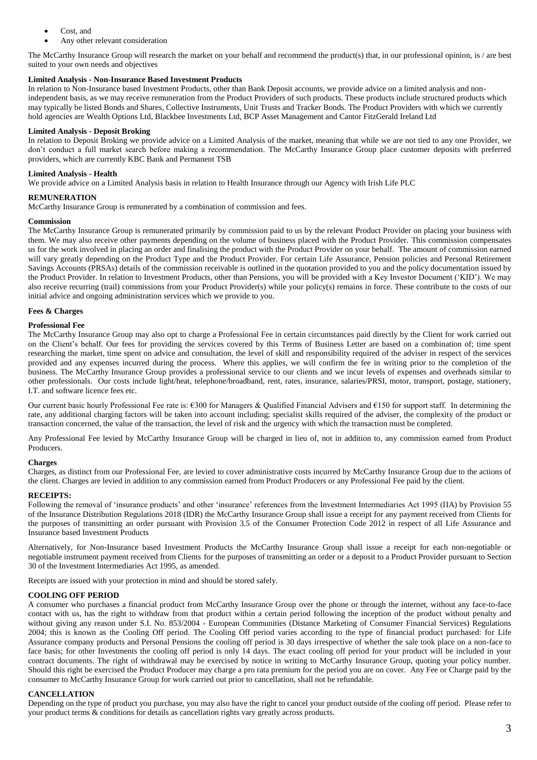- Cost, and
- Any other relevant consideration

The McCarthy Insurance Group will research the market on your behalf and recommend the product(s) that, in our professional opinion, is / are best suited to your own needs and objectives

# **Limited Analysis - Non-Insurance Based Investment Products**

In relation to Non-Insurance based Investment Products, other than Bank Deposit accounts, we provide advice on a limited analysis and nonindependent basis, as we may receive remuneration from the Product Providers of such products. These products include structured products which may typically be listed Bonds and Shares, Collective Instruments, Unit Trusts and Tracker Bonds. The Product Providers with which we currently hold agencies are Wealth Options Ltd, Blackbee Investments Ltd, BCP Asset Management and Cantor FitzGerald Ireland Ltd

# **Limited Analysis - Deposit Broking**

In relation to Deposit Broking we provide advice on a Limited Analysis of the market, meaning that while we are not tied to any one Provider, we don't conduct a full market search before making a recommendation. The McCarthy Insurance Group place customer deposits with preferred providers, which are currently KBC Bank and Permanent TSB

# **Limited Analysis - Health**

We provide advice on a Limited Analysis basis in relation to Health Insurance through our Agency with Irish Life PLC

# **REMUNERATION**

McCarthy Insurance Group is remunerated by a combination of commission and fees.

## **Commission**

The McCarthy Insurance Group is remunerated primarily by commission paid to us by the relevant Product Provider on placing your business with them. We may also receive other payments depending on the volume of business placed with the Product Provider. This commission compensates us for the work involved in placing an order and finalising the product with the Product Provider on your behalf. The amount of commission earned will vary greatly depending on the Product Type and the Product Provider. For certain Life Assurance, Pension policies and Personal Retirement Savings Accounts (PRSAs) details of the commission receivable is outlined in the quotation provided to you and the policy documentation issued by the Product Provider. In relation to Investment Products, other than Pensions, you will be provided with a Key Investor Document ('KID'). We may also receive recurring (trail) commissions from your Product Provider(s) while your policy(s) remains in force. These contribute to the costs of our initial advice and ongoing administration services which we provide to you.

## **Fees & Charges**

## **Professional Fee**

The McCarthy Insurance Group may also opt to charge a Professional Fee in certain circumstances paid directly by the Client for work carried out on the Client's behalf. Our fees for providing the services covered by this Terms of Business Letter are based on a combination of; time spent researching the market, time spent on advice and consultation, the level of skill and responsibility required of the adviser in respect of the services provided and any expenses incurred during the process. Where this applies, we will confirm the fee in writing prior to the completion of the business. The McCarthy Insurance Group provides a professional service to our clients and we incur levels of expenses and overheads similar to other professionals. Our costs include light/heat, telephone/broadband, rent, rates, insurance, salaries/PRSI, motor, transport, postage, stationery, I.T. and software licence fees etc.

Our current basic hourly Professional Fee rate is:  $\epsilon$ 300 for Managers & Qualified Financial Advisers and  $\epsilon$ 150 for support staff. In determining the rate, any additional charging factors will be taken into account including; specialist skills required of the adviser, the complexity of the product or transaction concerned, the value of the transaction, the level of risk and the urgency with which the transaction must be completed.

Any Professional Fee levied by McCarthy Insurance Group will be charged in lieu of, not in addition to, any commission earned from Product Producers.

## **Charges**

Charges, as distinct from our Professional Fee, are levied to cover administrative costs incurred by McCarthy Insurance Group due to the actions of the client. Charges are levied in addition to any commission earned from Product Producers or any Professional Fee paid by the client.

## **RECEIPTS:**

Following the removal of 'insurance products' and other 'insurance' references from the Investment Intermediaries Act 1995 (IIA) by Provision 55 of the Insurance Distribution Regulations 2018 (IDR) the McCarthy Insurance Group shall issue a receipt for any payment received from Clients for the purposes of transmitting an order pursuant with Provision 3.5 of the Consumer Protection Code 2012 in respect of all Life Assurance and Insurance based Investment Products

Alternatively, for Non-Insurance based Investment Products the McCarthy Insurance Group shall issue a receipt for each non-negotiable or negotiable instrument payment received from Clients for the purposes of transmitting an order or a deposit to a Product Provider pursuant to Section 30 of the Investment Intermediaries Act 1995, as amended.

Receipts are issued with your protection in mind and should be stored safely.

## **COOLING OFF PERIOD**

A consumer who purchases a financial product from McCarthy Insurance Group over the phone or through the internet, without any face-to-face contact with us, has the right to withdraw from that product within a certain period following the inception of the product without penalty and without giving any reason under S.I. No. 853/2004 - European Communities (Distance Marketing of Consumer Financial Services) Regulations 2004; this is known as the Cooling Off period. The Cooling Off period varies according to the type of financial product purchased: for Life Assurance company products and Personal Pensions the cooling off period is 30 days irrespective of whether the sale took place on a non-face to face basis; for other Investments the cooling off period is only 14 days. The exact cooling off period for your product will be included in your contract documents. The right of withdrawal may be exercised by notice in writing to McCarthy Insurance Group, quoting your policy number. Should this right be exercised the Product Producer may charge a pro rata premium for the period you are on cover. Any Fee or Charge paid by the consumer to McCarthy Insurance Group for work carried out prior to cancellation, shall not be refundable.

## **CANCELLATION**

Depending on the type of product you purchase, you may also have the right to cancel your product outside of the cooling off period. Please refer to your product terms & conditions for details as cancellation rights vary greatly across products.